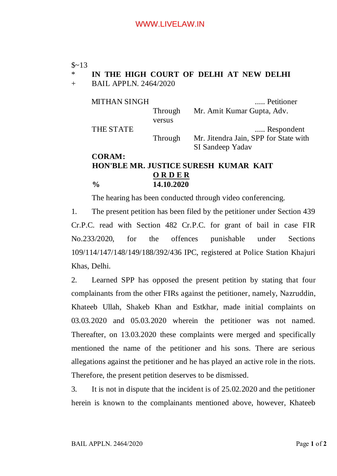#### $$~13$

# \* **IN THE HIGH COURT OF DELHI AT NEW DELHI**

+ BAIL APPLN. 2464/2020

MITHAN SINGH ...... Petitioner

THE STATE ...... Respondent

Through Mr. Amit Kumar Gupta, Adv.

versus

Through Mr. Jitendra Jain, SPP for State with SI Sandeep Yadav

# **CORAM: HON'BLE MR. JUSTICE SURESH KUMAR KAIT O R D E R % 14.10.2020**

The hearing has been conducted through video conferencing.

1. The present petition has been filed by the petitioner under Section 439 Cr.P.C. read with Section 482 Cr.P.C. for grant of bail in case FIR No.233/2020, for the offences punishable under Sections 109/114/147/148/149/188/392/436 IPC, registered at Police Station Khajuri Khas, Delhi.

2. Learned SPP has opposed the present petition by stating that four complainants from the other FIRs against the petitioner, namely, Nazruddin, Khateeb Ullah, Shakeb Khan and Estkhar, made initial complaints on 03.03.2020 and 05.03.2020 wherein the petitioner was not named. Thereafter, on 13.03.2020 these complaints were merged and specifically mentioned the name of the petitioner and his sons. There are serious allegations against the petitioner and he has played an active role in the riots. Therefore, the present petition deserves to be dismissed.

3. It is not in dispute that the incident is of 25.02.2020 and the petitioner herein is known to the complainants mentioned above, however, Khateeb